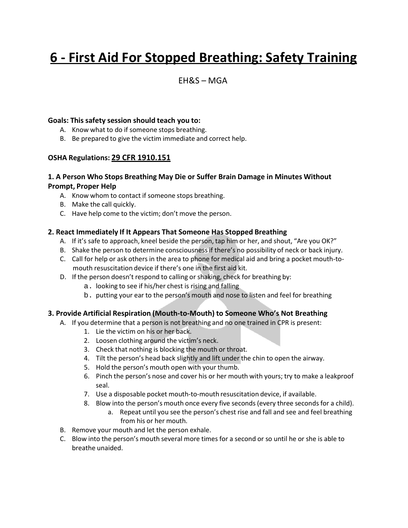# **6 - First Aid For Stopped Breathing: Safety Training**

### $FHRS - MGA$

#### **Goals: This safety session should teach you to:**

- A. Know what to do if someone stops breathing.
- B. Be prepared to give the victim immediate and correct help.

#### **OSHA Regulations: 29 CFR 1910.151**

#### **1. A Person Who Stops Breathing May Die or Suffer Brain Damage in Minutes Without Prompt, Proper Help**

- A. Know whom to contact if someone stops breathing.
- B. Make the call quickly.
- C. Have help come to the victim; don't move the person.

#### **2. React Immediately If It Appears That Someone Has Stopped Breathing**

- A. If it's safe to approach, kneel beside the person, tap him or her, and shout, "Are you OK?"
- B. Shake the person to determine consciousnessif there's no possibility of neck or back injury.
- C. Call for help or ask others in the area to phone for medical aid and bring a pocket mouth-tomouth resuscitation device if there's one in the first aid kit.
- D. If the person doesn't respond to calling or shaking, check for breathing by:
	- a. looking to see if his/her chest is rising and falling
	- b. putting your ear to the person's mouth and nose to listen and feel for breathing

#### **3. Provide Artificial Respiration (Mouth-to-Mouth) to Someone Who's Not Breathing**

- A. If you determine that a person is not breathing and no one trained in CPR is present:
	- 1. Lie the victim on his or her back.
	- 2. Loosen clothing around the victim's neck.
	- 3. Check that nothing is blocking the mouth or throat.
	- 4. Tilt the person's head back slightly and lift under the chin to open the airway.
	- 5. Hold the person's mouth open with your thumb.
	- 6. Pinch the person's nose and cover his or her mouth with yours; try to make a leakproof seal.
	- 7. Use a disposable pocket mouth-to-mouth resuscitation device, if available.
	- 8. Blow into the person's mouth once every five seconds (every three seconds for a child).
		- a. Repeat until you see the person's chest rise and fall and see and feel breathing from his or her mouth.
- B. Remove your mouth and let the person exhale.
- C. Blow into the person's mouth several more times for a second or so until he or she is able to breathe unaided.